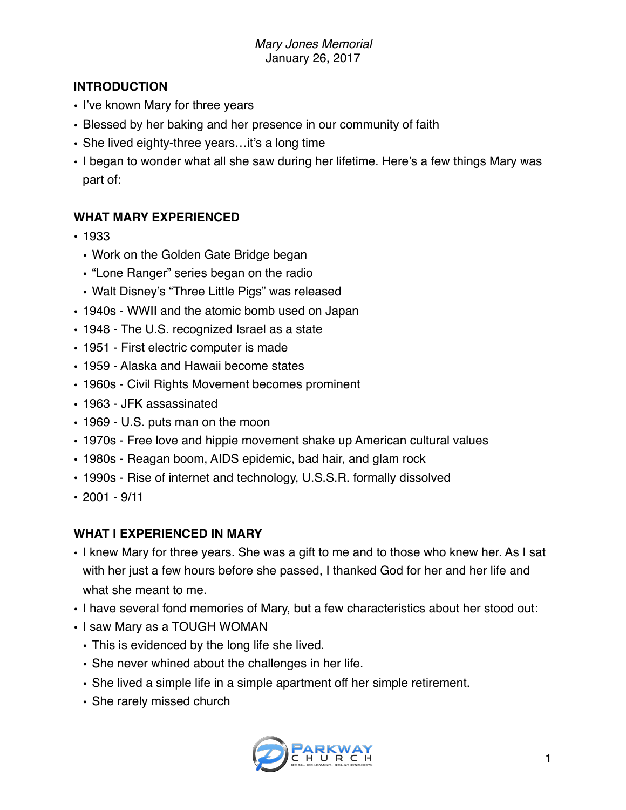### **INTRODUCTION**

- I've known Mary for three years
- Blessed by her baking and her presence in our community of faith
- She lived eighty-three years... it's a long time
- I began to wonder what all she saw during her lifetime. Here's a few things Mary was part of:

## **WHAT MARY EXPERIENCED**

- 1933
	- Work on the Golden Gate Bridge began
	- "Lone Ranger" series began on the radio
	- Walt Disney's "Three Little Pigs" was released
- 1940s WWII and the atomic bomb used on Japan
- 1948 The U.S. recognized Israel as a state
- 1951 First electric computer is made
- 1959 Alaska and Hawaii become states
- 1960s Civil Rights Movement becomes prominent
- 1963 JFK assassinated
- 1969 U.S. puts man on the moon
- 1970s Free love and hippie movement shake up American cultural values
- 1980s Reagan boom, AIDS epidemic, bad hair, and glam rock
- 1990s Rise of internet and technology, U.S.S.R. formally dissolved
- $2001 9/11$

## **WHAT I EXPERIENCED IN MARY**

- I knew Mary for three years. She was a gift to me and to those who knew her. As I sat with her just a few hours before she passed, I thanked God for her and her life and what she meant to me.
- I have several fond memories of Mary, but a few characteristics about her stood out:
- I saw Mary as a TOUGH WOMAN
	- This is evidenced by the long life she lived.
	- She never whined about the challenges in her life.
	- She lived a simple life in a simple apartment off her simple retirement.
	- She rarely missed church

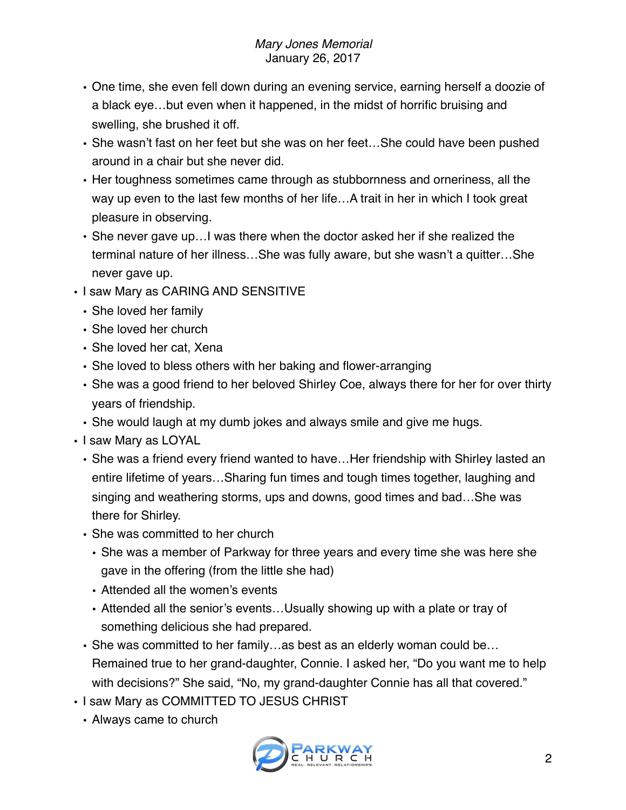- One time, she even fell down during an evening service, earning herself a doozie of a black eye…but even when it happened, in the midst of horrific bruising and swelling, she brushed it off.
- She wasn't fast on her feet but she was on her feet…She could have been pushed around in a chair but she never did.
- Her toughness sometimes came through as stubbornness and orneriness, all the way up even to the last few months of her life…A trait in her in which I took great pleasure in observing.
- She never gave up…I was there when the doctor asked her if she realized the terminal nature of her illness…She was fully aware, but she wasn't a quitter…She never gave up.
- I saw Mary as CARING AND SENSITIVE
	- She loved her family
	- She loved her church
	- She loved her cat, Xena
	- She loved to bless others with her baking and flower-arranging
	- She was a good friend to her beloved Shirley Coe, always there for her for over thirty years of friendship.
	- She would laugh at my dumb jokes and always smile and give me hugs.
- I saw Mary as LOYAL
	- She was a friend every friend wanted to have…Her friendship with Shirley lasted an entire lifetime of years…Sharing fun times and tough times together, laughing and singing and weathering storms, ups and downs, good times and bad…She was there for Shirley.
	- She was committed to her church
		- She was a member of Parkway for three years and every time she was here she gave in the offering (from the little she had)
		- Attended all the women's events
		- Attended all the senior's events…Usually showing up with a plate or tray of something delicious she had prepared.
	- She was committed to her family…as best as an elderly woman could be… Remained true to her grand-daughter, Connie. I asked her, "Do you want me to help with decisions?" She said, "No, my grand-daughter Connie has all that covered."
- I saw Mary as COMMITTED TO JESUS CHRIST
	- Always came to church

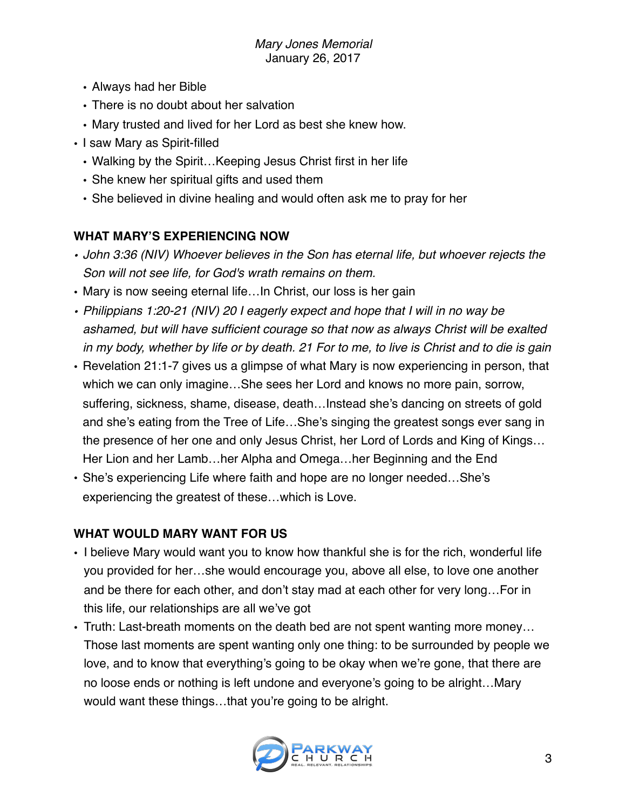#### *Mary Jones Memorial* January 26, 2017

- Always had her Bible
- There is no doubt about her salvation
- Mary trusted and lived for her Lord as best she knew how.
- I saw Mary as Spirit-filled
	- Walking by the Spirit…Keeping Jesus Christ first in her life
	- She knew her spiritual gifts and used them
	- She believed in divine healing and would often ask me to pray for her

# **WHAT MARY'S EXPERIENCING NOW**

- *• John 3:36 (NIV) Whoever believes in the Son has eternal life, but whoever rejects the Son will not see life, for God's wrath remains on them.*
- Mary is now seeing eternal life... In Christ, our loss is her gain
- *• Philippians 1:20-21 (NIV) [20](http://biblehub.com/philippians/1-20.htm) I eagerly expect and hope that I will in no way be ashamed, but will have sufficient courage so that now as always Christ will be exalted in my body, whether by life or by death. [21](http://biblehub.com/philippians/1-21.htm) For to me, to live is Christ and to die is gain*
- Revelation 21:1-7 gives us a glimpse of what Mary is now experiencing in person, that which we can only imagine…She sees her Lord and knows no more pain, sorrow, suffering, sickness, shame, disease, death…Instead she's dancing on streets of gold and she's eating from the Tree of Life…She's singing the greatest songs ever sang in the presence of her one and only Jesus Christ, her Lord of Lords and King of Kings… Her Lion and her Lamb…her Alpha and Omega…her Beginning and the End
- She's experiencing Life where faith and hope are no longer needed…She's experiencing the greatest of these…which is Love.

# **WHAT WOULD MARY WANT FOR US**

- I believe Mary would want you to know how thankful she is for the rich, wonderful life you provided for her…she would encourage you, above all else, to love one another and be there for each other, and don't stay mad at each other for very long…For in this life, our relationships are all we've got
- Truth: Last-breath moments on the death bed are not spent wanting more money… Those last moments are spent wanting only one thing: to be surrounded by people we love, and to know that everything's going to be okay when we're gone, that there are no loose ends or nothing is left undone and everyone's going to be alright…Mary would want these things…that you're going to be alright.